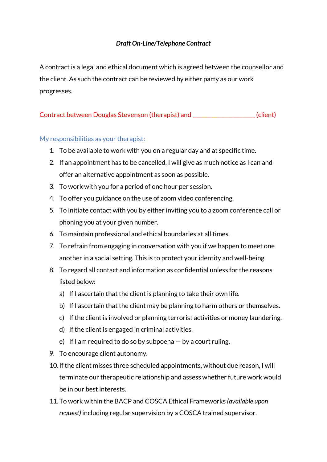## *Draft On-Line/Telephone Contract*

A contract is a legal and ethical document which is agreed between the counsellor and the client. As such the contract can be reviewed by either party as our work progresses.

Contract between Douglas Stevenson (therapist) and \_\_\_\_\_\_\_\_\_\_\_\_\_\_\_\_\_\_\_\_\_\_\_\_(client)

## My responsibilities as your therapist:

- 1. To be available to work with you on a regular day and at specific time.
- 2. If an appointment has to be cancelled, I will give as much notice as I can and offer an alternative appointment as soon as possible.
- 3. To work with you for a period of one hour per session.
- 4. To offer you guidance on the use of zoom video conferencing.
- 5. To initiate contact with you by either inviting you to a zoom conference call or phoning you at your given number.
- 6. To maintain professional and ethical boundaries at all times.
- 7. To refrain from engaging in conversation with you if we happen to meet one another in a social setting. This is to protect your identity and well-being.
- 8. To regard all contact and information as confidential unless for the reasons listed below:
	- a) If I ascertain that the client is planning to take their own life.
	- b) If I ascertain that the client may be planning to harm others or themselves.
	- c) If the client is involved or planning terrorist activities or money laundering.
	- d) If the client is engaged in criminal activities.
	- e) If I am required to do so by subpoena  $-$  by a court ruling.
- 9. To encourage client autonomy.
- 10.If the client misses three scheduled appointments, without due reason, I will terminate our therapeutic relationship and assess whether future work would be in our best interests.
- 11.To work within the BACP and COSCA Ethical Frameworks *(available upon request)* including regular supervision by a COSCA trained supervisor.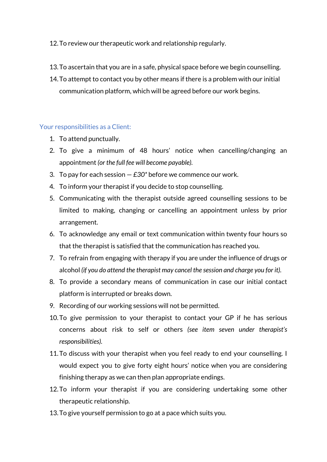## 12.To review our therapeutic work and relationship regularly.

- 13.To ascertain that you are in a safe, physical space before we begin counselling.
- 14.To attempt to contact you by other means if there is a problem with our initial communication platform, which will be agreed before our work begins.

## Your responsibilities as a Client:

- 1. To attend punctually.
- 2. To give a minimum of 48 hours' notice when cancelling/changing an appointment *(or the full fee will become payable).*
- 3. To pay for each session *£30\** before we commence our work.
- 4. To inform your therapist if you decide to stop counselling.
- 5. Communicating with the therapist outside agreed counselling sessions to be limited to making, changing or cancelling an appointment unless by prior arrangement.
- 6. To acknowledge any email or text communication within twenty four hours so that the therapist is satisfied that the communication has reached you.
- 7. To refrain from engaging with therapy if you are under the influence of drugs or alcohol *(if you do attend the therapist may cancel the session and charge you for it).*
- 8. To provide a secondary means of communication in case our initial contact platform is interrupted or breaks down.
- 9. Recording of our working sessions will not be permitted.
- 10.To give permission to your therapist to contact your GP if he has serious concerns about risk to self or others *(see item seven under therapist's responsibilities).*
- 11.To discuss with your therapist when you feel ready to end your counselling. I would expect you to give forty eight hours' notice when you are considering finishing therapy as we can then plan appropriate endings.
- 12.To inform your therapist if you are considering undertaking some other therapeutic relationship.
- 13.To give yourself permission to go at a pace which suits you.